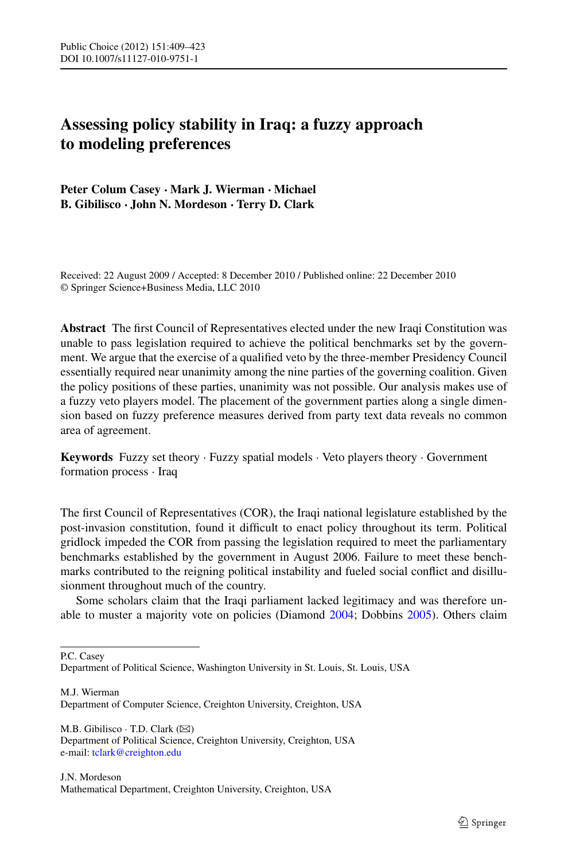# **Assessing policy stability in Iraq: a fuzzy approach to modeling preferences**

**Peter Colum Casey · Mark J. Wierman · Michael B. Gibilisco · John N. Mordeson · Terry D. Clark**

Received: 22 August 2009 / Accepted: 8 December 2010 / Published online: 22 December 2010 © Springer Science+Business Media, LLC 2010

**Abstract** The first Council of Representatives elected under the new Iraqi Constitution was unable to pass legislation required to achieve the political benchmarks set by the government. We argue that the exercise of a qualified veto by the three-member Presidency Council essentially required near unanimity among the nine parties of the governing coalition. Given the policy positions of these parties, unanimity was not possible. Our analysis makes use of a fuzzy veto players model. The placement of the government parties along a single dimension based on fuzzy preference measures derived from party text data reveals no common area of agreement.

**Keywords** Fuzzy set theory · Fuzzy spatial models · Veto players theory · Government formation process · Iraq

The first Council of Representatives (COR), the Iraqi national legislature established by the post-invasion constitution, found it difficult to enact policy throughout its term. Political gridlock impeded the COR from passing the legislation required to meet the parliamentary benchmarks established by the government in August 2006. Failure to meet these benchmarks contributed to the reigning political instability and fueled social conflict and disillusionment throughout much of the country.

Some scholars claim that the Iraqi parliament lacked legitimacy and was therefore unable to muster a majority vote on policies (Diamond [2004;](#page-13-0) Dobbins [2005](#page-13-1)). Others claim

P.C. Casey

M.J. Wierman Department of Computer Science, Creighton University, Creighton, USA

M.B. Gibilisco · T.D. Clark ( $\boxtimes$ ) Department of Political Science, Creighton University, Creighton, USA e-mail: [tclark@creighton.edu](mailto:tclark@creighton.edu)

Department of Political Science, Washington University in St. Louis, St. Louis, USA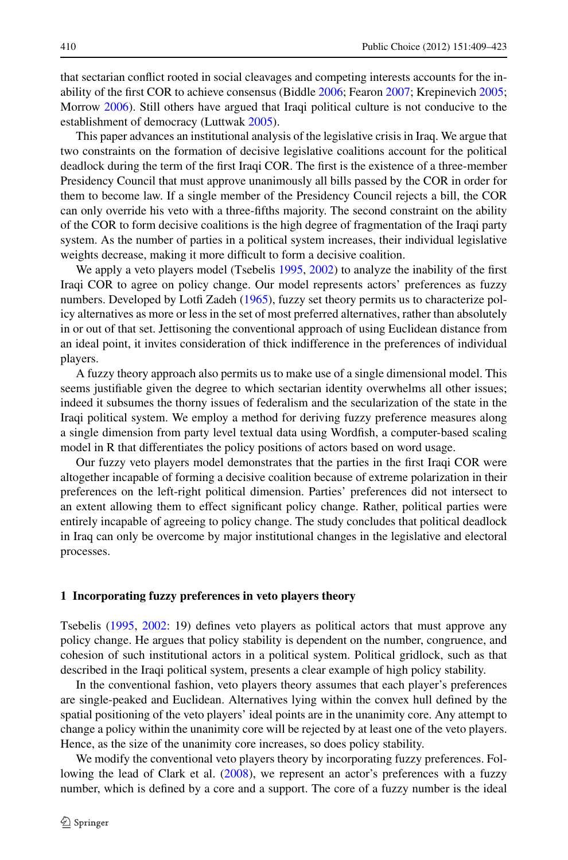that sectarian conflict rooted in social cleavages and competing interests accounts for the inability of the first COR to achieve consensus (Biddle [2006](#page-13-2); Fearon [2007;](#page-13-3) Krepinevich [2005;](#page-14-0) Morrow [2006\)](#page-14-1). Still others have argued that Iraqi political culture is not conducive to the establishment of democracy (Luttwak [2005](#page-14-2)).

This paper advances an institutional analysis of the legislative crisis in Iraq. We argue that two constraints on the formation of decisive legislative coalitions account for the political deadlock during the term of the first Iraqi COR. The first is the existence of a three-member Presidency Council that must approve unanimously all bills passed by the COR in order for them to become law. If a single member of the Presidency Council rejects a bill, the COR can only override his veto with a three-fifths majority. The second constraint on the ability of the COR to form decisive coalitions is the high degree of fragmentation of the Iraqi party system. As the number of parties in a political system increases, their individual legislative weights decrease, making it more difficult to form a decisive coalition.

We apply a veto players model (Tsebelis [1995,](#page-14-3) [2002](#page-14-4)) to analyze the inability of the first Iraqi COR to agree on policy change. Our model represents actors' preferences as fuzzy numbers. Developed by Lotfi Zadeh ([1965\)](#page-14-5), fuzzy set theory permits us to characterize policy alternatives as more or less in the set of most preferred alternatives, rather than absolutely in or out of that set. Jettisoning the conventional approach of using Euclidean distance from an ideal point, it invites consideration of thick indifference in the preferences of individual players.

A fuzzy theory approach also permits us to make use of a single dimensional model. This seems justifiable given the degree to which sectarian identity overwhelms all other issues; indeed it subsumes the thorny issues of federalism and the secularization of the state in the Iraqi political system. We employ a method for deriving fuzzy preference measures along a single dimension from party level textual data using Wordfish, a computer-based scaling model in R that differentiates the policy positions of actors based on word usage.

Our fuzzy veto players model demonstrates that the parties in the first Iraqi COR were altogether incapable of forming a decisive coalition because of extreme polarization in their preferences on the left-right political dimension. Parties' preferences did not intersect to an extent allowing them to effect significant policy change. Rather, political parties were entirely incapable of agreeing to policy change. The study concludes that political deadlock in Iraq can only be overcome by major institutional changes in the legislative and electoral processes.

## **1 Incorporating fuzzy preferences in veto players theory**

Tsebelis [\(1995](#page-14-3), [2002](#page-14-4): 19) defines veto players as political actors that must approve any policy change. He argues that policy stability is dependent on the number, congruence, and cohesion of such institutional actors in a political system. Political gridlock, such as that described in the Iraqi political system, presents a clear example of high policy stability.

In the conventional fashion, veto players theory assumes that each player's preferences are single-peaked and Euclidean. Alternatives lying within the convex hull defined by the spatial positioning of the veto players' ideal points are in the unanimity core. Any attempt to change a policy within the unanimity core will be rejected by at least one of the veto players. Hence, as the size of the unanimity core increases, so does policy stability.

We modify the conventional veto players theory by incorporating fuzzy preferences. Fol-lowing the lead of Clark et al. ([2008\)](#page-13-4), we represent an actor's preferences with a fuzzy number, which is defined by a core and a support. The core of a fuzzy number is the ideal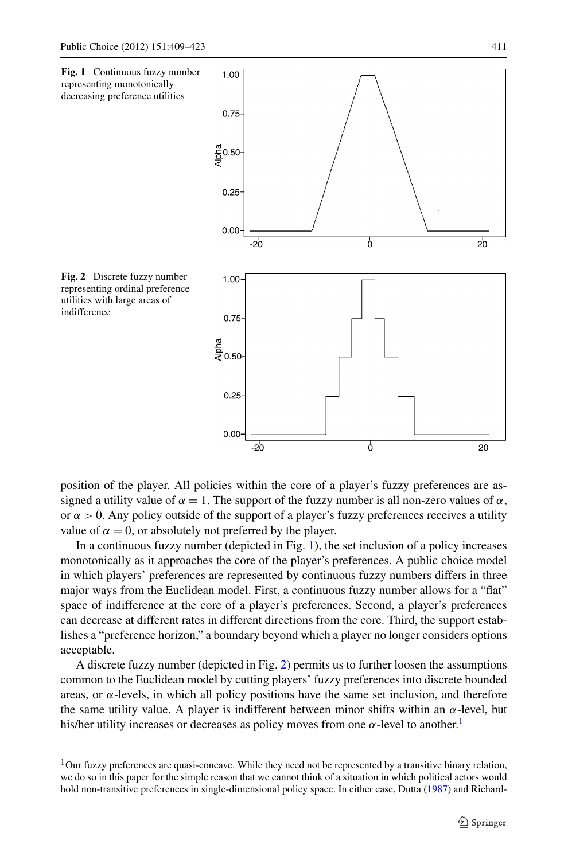<span id="page-2-1"></span><span id="page-2-0"></span>

position of the player. All policies within the core of a player's fuzzy preferences are assigned a utility value of  $\alpha = 1$ . The support of the fuzzy number is all non-zero values of  $\alpha$ , or  $\alpha > 0$ . Any policy outside of the support of a player's fuzzy preferences receives a utility value of  $\alpha = 0$ , or absolutely not preferred by the player.

In a continuous fuzzy number (depicted in Fig. [1](#page-2-0)), the set inclusion of a policy increases monotonically as it approaches the core of the player's preferences. A public choice model in which players' preferences are represented by continuous fuzzy numbers differs in three major ways from the Euclidean model. First, a continuous fuzzy number allows for a "flat" space of indifference at the core of a player's preferences. Second, a player's preferences can decrease at different rates in different directions from the core. Third, the support establishes a "preference horizon," a boundary beyond which a player no longer considers options acceptable.

<span id="page-2-2"></span>A discrete fuzzy number (depicted in Fig. [2\)](#page-2-1) permits us to further loosen the assumptions common to the Euclidean model by cutting players' fuzzy preferences into discrete bounded areas, or  $\alpha$ -levels, in which all policy positions have the same set inclusion, and therefore the same utility value. A player is indifferent between minor shifts within an  $\alpha$ -level, but his/her utility increases or decreases as policy moves from one  $\alpha$ -level to another.<sup>1</sup>

<sup>&</sup>lt;sup>1</sup>Our fuzzy preferences are quasi-concave. While they need not be represented by a transitive binary relation, we do so in this paper for the simple reason that we cannot think of a situation in which political actors would hold non-transitive preferences in single-dimensional policy space. In either case, Dutta ([1987](#page-13-5)) and Richard-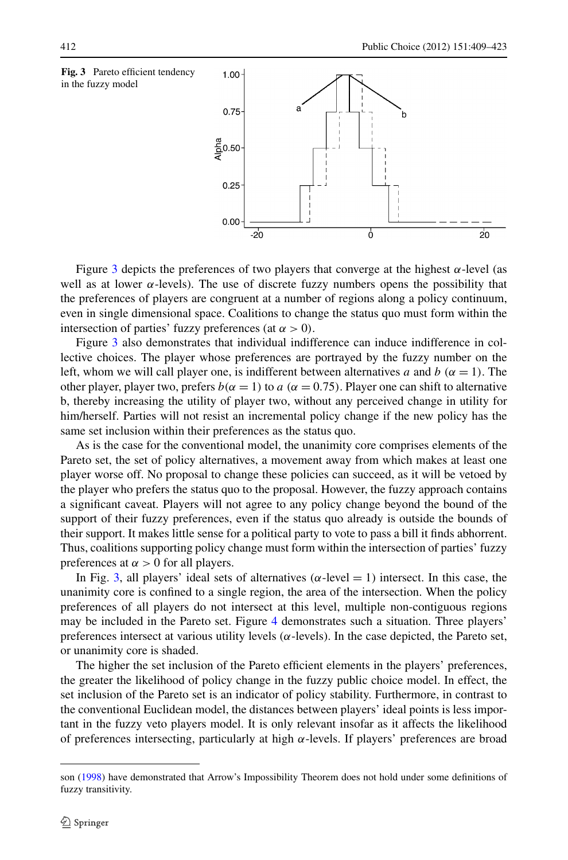<span id="page-3-0"></span>

Figure [3](#page-3-0) depicts the preferences of two players that converge at the highest  $α$ -level (as well as at lower  $\alpha$ -levels). The use of discrete fuzzy numbers opens the possibility that the preferences of players are congruent at a number of regions along a policy continuum, even in single dimensional space. Coalitions to change the status quo must form within the intersection of parties' fuzzy preferences (at  $\alpha > 0$ ).

Figure [3](#page-3-0) also demonstrates that individual indifference can induce indifference in collective choices. The player whose preferences are portrayed by the fuzzy number on the left, whom we will call player one, is indifferent between alternatives *a* and *b* ( $\alpha = 1$ ). The other player, player two, prefers  $b(\alpha = 1)$  to  $a(\alpha = 0.75)$ . Player one can shift to alternative b, thereby increasing the utility of player two, without any perceived change in utility for him/herself. Parties will not resist an incremental policy change if the new policy has the same set inclusion within their preferences as the status quo.

As is the case for the conventional model, the unanimity core comprises elements of the Pareto set, the set of policy alternatives, a movement away from which makes at least one player worse off. No proposal to change these policies can succeed, as it will be vetoed by the player who prefers the status quo to the proposal. However, the fuzzy approach contains a significant caveat. Players will not agree to any policy change beyond the bound of the support of their fuzzy preferences, even if the status quo already is outside the bounds of their support. It makes little sense for a political party to vote to pass a bill it finds abhorrent. Thus, coalitions supporting policy change must form within the intersection of parties' fuzzy preferences at  $\alpha > 0$  for all players.

In Fig. [3,](#page-3-0) all players' ideal sets of alternatives ( $\alpha$ -level = 1) intersect. In this case, the unanimity core is confined to a single region, the area of the intersection. When the policy preferences of all players do not intersect at this level, multiple non-contiguous regions may be included in the Pareto set. Figure [4](#page-4-0) demonstrates such a situation. Three players' preferences intersect at various utility levels (*α*-levels). In the case depicted, the Pareto set, or unanimity core is shaded.

The higher the set inclusion of the Pareto efficient elements in the players' preferences, the greater the likelihood of policy change in the fuzzy public choice model. In effect, the set inclusion of the Pareto set is an indicator of policy stability. Furthermore, in contrast to the conventional Euclidean model, the distances between players' ideal points is less important in the fuzzy veto players model. It is only relevant insofar as it affects the likelihood of preferences intersecting, particularly at high *α*-levels. If players' preferences are broad

son ([1998\)](#page-14-6) have demonstrated that Arrow's Impossibility Theorem does not hold under some definitions of fuzzy transitivity.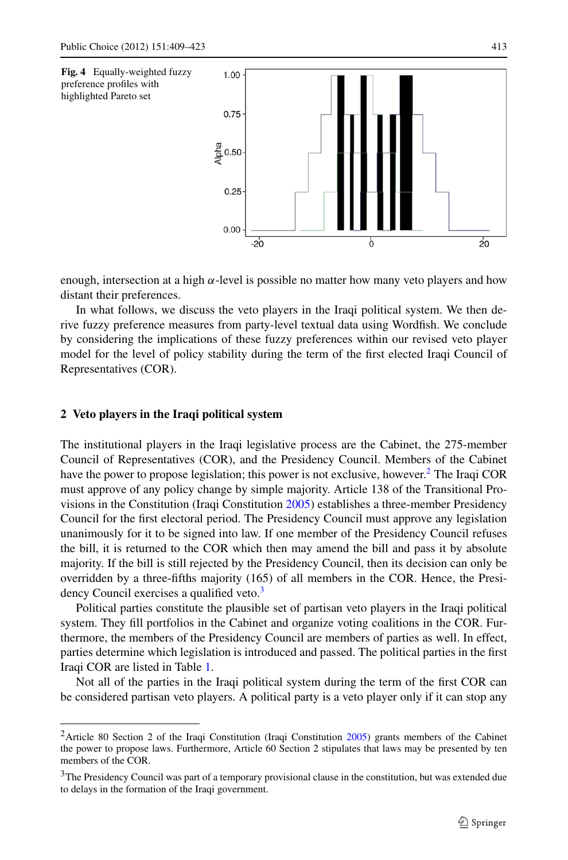<span id="page-4-0"></span>

enough, intersection at a high  $\alpha$ -level is possible no matter how many veto players and how distant their preferences.

-20

In what follows, we discuss the veto players in the Iraqi political system. We then derive fuzzy preference measures from party-level textual data using Wordfish. We conclude by considering the implications of these fuzzy preferences within our revised veto player model for the level of policy stability during the term of the first elected Iraqi Council of Representatives (COR).

## **2 Veto players in the Iraqi political system**

The institutional players in the Iraqi legislative process are the Cabinet, the 275-member Council of Representatives (COR), and the Presidency Council. Members of the Cabinet have the power to propose legislation; this power is not exclusive, however.<sup>2</sup> The Iraqi COR must approve of any policy change by simple majority. Article 138 of the Transitional Provisions in the Constitution (Iraqi Constitution [2005](#page-13-6)) establishes a three-member Presidency Council for the first electoral period. The Presidency Council must approve any legislation unanimously for it to be signed into law. If one member of the Presidency Council refuses the bill, it is returned to the COR which then may amend the bill and pass it by absolute majority. If the bill is still rejected by the Presidency Council, then its decision can only be overridden by a three-fifths majority (165) of all members in the COR. Hence, the Presidency Council exercises a qualified veto.<sup>3</sup>

<span id="page-4-1"></span>Political parties constitute the plausible set of partisan veto players in the Iraqi political system. They fill portfolios in the Cabinet and organize voting coalitions in the COR. Furthermore, the members of the Presidency Council are members of parties as well. In effect, parties determine which legislation is introduced and passed. The political parties in the first Iraqi COR are listed in Table [1](#page-5-0).

<span id="page-4-2"></span>Not all of the parties in the Iraqi political system during the term of the first COR can be considered partisan veto players. A political party is a veto player only if it can stop any

<sup>&</sup>lt;sup>2</sup> Article 80 Section 2 of the Iraqi Constitution (Iraqi Constitution [2005](#page-13-6)) grants members of the Cabinet the power to propose laws. Furthermore, Article 60 Section 2 stipulates that laws may be presented by ten members of the COR.

 $3$ The Presidency Council was part of a temporary provisional clause in the constitution, but was extended due to delays in the formation of the Iraqi government.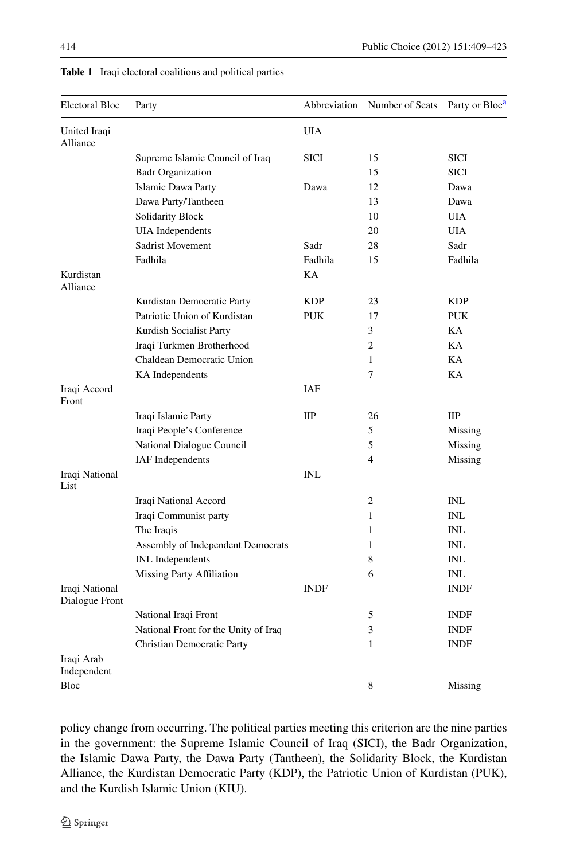| <b>Electoral Bloc</b>            | Party                                | Abbreviation | Number of Seats                                                                                                                                                                                                                  | Party or Bloc <sup>a</sup> |
|----------------------------------|--------------------------------------|--------------|----------------------------------------------------------------------------------------------------------------------------------------------------------------------------------------------------------------------------------|----------------------------|
| United Iraqi<br>Alliance         |                                      | <b>UIA</b>   |                                                                                                                                                                                                                                  |                            |
|                                  | Supreme Islamic Council of Iraq      | SICI         | 15                                                                                                                                                                                                                               | SICI                       |
|                                  | <b>Badr Organization</b>             |              | 15                                                                                                                                                                                                                               | <b>SICI</b>                |
|                                  | Islamic Dawa Party                   | Dawa         | 12                                                                                                                                                                                                                               | Dawa                       |
|                                  | Dawa Party/Tantheen                  |              | 13                                                                                                                                                                                                                               | Dawa                       |
|                                  | Solidarity Block                     |              | 10                                                                                                                                                                                                                               | UІА                        |
|                                  | <b>UIA</b> Independents              |              | 20                                                                                                                                                                                                                               | UIA                        |
|                                  | Sadrist Movement                     | Sadr         | 28                                                                                                                                                                                                                               | Sadr                       |
|                                  | Fadhila                              | Fadhila      | 15                                                                                                                                                                                                                               | Fadhila                    |
| Kurdistan<br>Alliance            |                                      | KA           |                                                                                                                                                                                                                                  |                            |
|                                  | Kurdistan Democratic Party           | <b>KDP</b>   | 23                                                                                                                                                                                                                               | <b>KDP</b>                 |
|                                  | Patriotic Union of Kurdistan         | <b>PUK</b>   | 17                                                                                                                                                                                                                               | PUK                        |
|                                  | Kurdish Socialist Party              |              | 3                                                                                                                                                                                                                                | КA                         |
|                                  | Iraqi Turkmen Brotherhood            |              | 2                                                                                                                                                                                                                                | KA                         |
|                                  | Chaldean Democratic Union            |              | 1                                                                                                                                                                                                                                | KA                         |
|                                  | KA Independents                      |              | 7                                                                                                                                                                                                                                | KA                         |
| Iraqi Accord<br>Front            |                                      | IAF          | 26<br><b>IIP</b><br>5<br>Missing<br>5<br>Missing<br>4<br>Missing<br>2<br>INL<br>1<br>INL<br><b>INL</b><br>1<br>INL<br>1<br>8<br>INL<br>6<br>INL<br><b>INDF</b><br>5<br>INDF<br>3<br>INDF<br>$\mathbf{1}$<br>INDF<br>8<br>Missing |                            |
|                                  | Iraqi Islamic Party                  | <b>IIP</b>   |                                                                                                                                                                                                                                  |                            |
|                                  | Iraqi People's Conference            |              |                                                                                                                                                                                                                                  |                            |
|                                  | National Dialogue Council            |              |                                                                                                                                                                                                                                  |                            |
|                                  | <b>IAF</b> Independents              |              |                                                                                                                                                                                                                                  |                            |
| Iraqi National<br>List           |                                      | INL          |                                                                                                                                                                                                                                  |                            |
|                                  | Iraqi National Accord                |              |                                                                                                                                                                                                                                  |                            |
|                                  | Iraqi Communist party                |              |                                                                                                                                                                                                                                  |                            |
|                                  | The Iraqis                           |              |                                                                                                                                                                                                                                  |                            |
|                                  | Assembly of Independent Democrats    |              |                                                                                                                                                                                                                                  |                            |
|                                  | <b>INL</b> Independents              |              |                                                                                                                                                                                                                                  |                            |
|                                  | Missing Party Affiliation            |              |                                                                                                                                                                                                                                  |                            |
| Iraqi National<br>Dialogue Front |                                      | <b>INDF</b>  |                                                                                                                                                                                                                                  |                            |
|                                  | National Iraqi Front                 |              |                                                                                                                                                                                                                                  |                            |
|                                  | National Front for the Unity of Iraq |              |                                                                                                                                                                                                                                  |                            |
|                                  | Christian Democratic Party           |              |                                                                                                                                                                                                                                  |                            |
| Iraqi Arab<br>Independent        |                                      |              |                                                                                                                                                                                                                                  |                            |
| Bloc                             |                                      |              |                                                                                                                                                                                                                                  |                            |

<span id="page-5-0"></span>**Table 1** Iraqi electoral coalitions and political parties

policy change from occurring. The political parties meeting this criterion are the nine parties in the government: the Supreme Islamic Council of Iraq (SICI), the Badr Organization, the Islamic Dawa Party, the Dawa Party (Tantheen), the Solidarity Block, the Kurdistan Alliance, the Kurdistan Democratic Party (KDP), the Patriotic Union of Kurdistan (PUK), and the Kurdish Islamic Union (KIU).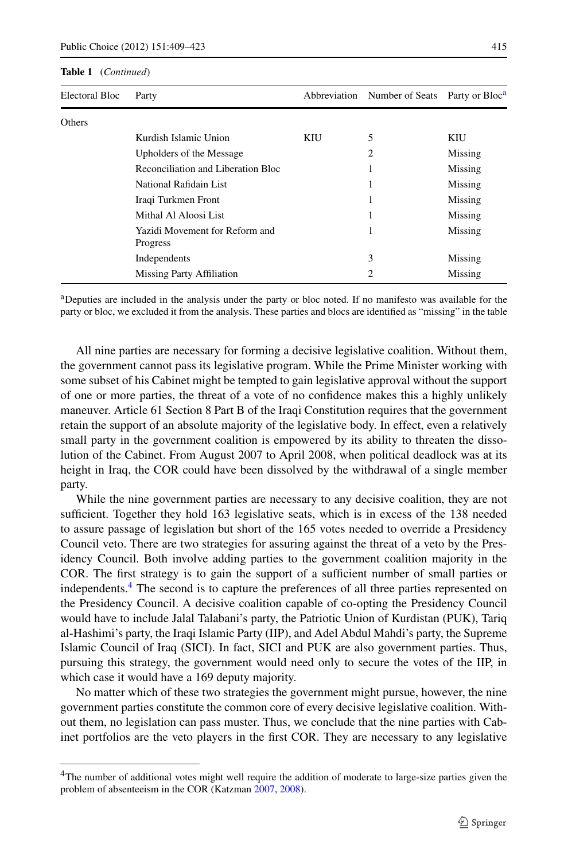| Table 1<br>(Continued) |  |  |
|------------------------|--|--|
|------------------------|--|--|

<span id="page-6-0"></span>

| Electoral Bloc | Party                                      |     | Abbreviation Number of Seats Party or Bloc <sup>a</sup> |         |  |
|----------------|--------------------------------------------|-----|---------------------------------------------------------|---------|--|
| Others         |                                            |     |                                                         |         |  |
|                | Kurdish Islamic Union                      | KIU | 5                                                       | KIU     |  |
|                | Upholders of the Message                   |     | $\overline{c}$                                          | Missing |  |
|                | Reconciliation and Liberation Bloc         |     | 1                                                       | Missing |  |
|                | National Rafidain List                     |     | 1                                                       | Missing |  |
|                | Iraqi Turkmen Front                        |     | 1                                                       | Missing |  |
|                | Mithal Al Aloosi List                      |     |                                                         | Missing |  |
|                | Yazidi Movement for Reform and<br>Progress |     | 1                                                       | Missing |  |
|                | Independents                               |     | 3                                                       | Missing |  |
|                | <b>Missing Party Affiliation</b>           |     | 2                                                       | Missing |  |

<sup>a</sup>Deputies are included in the analysis under the party or bloc noted. If no manifesto was available for the party or bloc, we excluded it from the analysis. These parties and blocs are identified as "missing" in the table

All nine parties are necessary for forming a decisive legislative coalition. Without them, the government cannot pass its legislative program. While the Prime Minister working with some subset of his Cabinet might be tempted to gain legislative approval without the support of one or more parties, the threat of a vote of no confidence makes this a highly unlikely maneuver. Article 61 Section 8 Part B of the Iraqi Constitution requires that the government retain the support of an absolute majority of the legislative body. In effect, even a relatively small party in the government coalition is empowered by its ability to threaten the dissolution of the Cabinet. From August 2007 to April 2008, when political deadlock was at its height in Iraq, the COR could have been dissolved by the withdrawal of a single member party.

While the nine government parties are necessary to any decisive coalition, they are not sufficient. Together they hold 163 legislative seats, which is in excess of the 138 needed to assure passage of legislation but short of the 165 votes needed to override a Presidency Council veto. There are two strategies for assuring against the threat of a veto by the Presidency Council. Both involve adding parties to the government coalition majority in the COR. The first strategy is to gain the support of a sufficient number of small parties or independents[.4](#page-6-1) The second is to capture the preferences of all three parties represented on the Presidency Council. A decisive coalition capable of co-opting the Presidency Council would have to include Jalal Talabani's party, the Patriotic Union of Kurdistan (PUK), Tariq al-Hashimi's party, the Iraqi Islamic Party (IIP), and Adel Abdul Mahdi's party, the Supreme Islamic Council of Iraq (SICI). In fact, SICI and PUK are also government parties. Thus, pursuing this strategy, the government would need only to secure the votes of the IIP, in which case it would have a 169 deputy majority.

<span id="page-6-1"></span>No matter which of these two strategies the government might pursue, however, the nine government parties constitute the common core of every decisive legislative coalition. Without them, no legislation can pass muster. Thus, we conclude that the nine parties with Cabinet portfolios are the veto players in the first COR. They are necessary to any legislative

<sup>&</sup>lt;sup>4</sup>The number of additional votes might well require the addition of moderate to large-size parties given the problem of absenteeism in the COR (Katzman [2007,](#page-14-7) [2008\)](#page-14-8).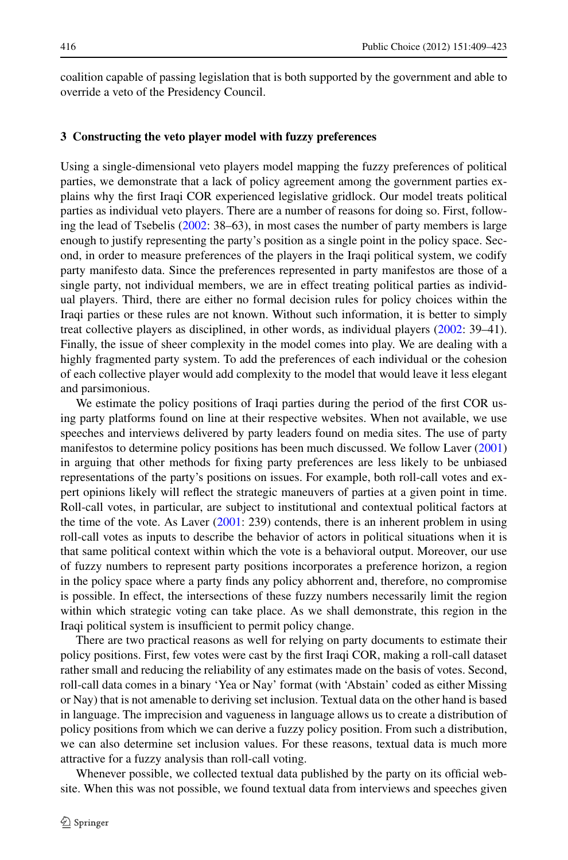coalition capable of passing legislation that is both supported by the government and able to override a veto of the Presidency Council.

#### **3 Constructing the veto player model with fuzzy preferences**

Using a single-dimensional veto players model mapping the fuzzy preferences of political parties, we demonstrate that a lack of policy agreement among the government parties explains why the first Iraqi COR experienced legislative gridlock. Our model treats political parties as individual veto players. There are a number of reasons for doing so. First, following the lead of Tsebelis [\(2002](#page-14-4): 38–63), in most cases the number of party members is large enough to justify representing the party's position as a single point in the policy space. Second, in order to measure preferences of the players in the Iraqi political system, we codify party manifesto data. Since the preferences represented in party manifestos are those of a single party, not individual members, we are in effect treating political parties as individual players. Third, there are either no formal decision rules for policy choices within the Iraqi parties or these rules are not known. Without such information, it is better to simply treat collective players as disciplined, in other words, as individual players ([2002:](#page-14-4) 39–41). Finally, the issue of sheer complexity in the model comes into play. We are dealing with a highly fragmented party system. To add the preferences of each individual or the cohesion of each collective player would add complexity to the model that would leave it less elegant and parsimonious.

We estimate the policy positions of Iraqi parties during the period of the first COR using party platforms found on line at their respective websites. When not available, we use speeches and interviews delivered by party leaders found on media sites. The use of party manifestos to determine policy positions has been much discussed. We follow Laver [\(2001](#page-14-9)) in arguing that other methods for fixing party preferences are less likely to be unbiased representations of the party's positions on issues. For example, both roll-call votes and expert opinions likely will reflect the strategic maneuvers of parties at a given point in time. Roll-call votes, in particular, are subject to institutional and contextual political factors at the time of the vote. As Laver ([2001:](#page-14-9) 239) contends, there is an inherent problem in using roll-call votes as inputs to describe the behavior of actors in political situations when it is that same political context within which the vote is a behavioral output. Moreover, our use of fuzzy numbers to represent party positions incorporates a preference horizon, a region in the policy space where a party finds any policy abhorrent and, therefore, no compromise is possible. In effect, the intersections of these fuzzy numbers necessarily limit the region within which strategic voting can take place. As we shall demonstrate, this region in the Iraqi political system is insufficient to permit policy change.

There are two practical reasons as well for relying on party documents to estimate their policy positions. First, few votes were cast by the first Iraqi COR, making a roll-call dataset rather small and reducing the reliability of any estimates made on the basis of votes. Second, roll-call data comes in a binary 'Yea or Nay' format (with 'Abstain' coded as either Missing or Nay) that is not amenable to deriving set inclusion. Textual data on the other hand is based in language. The imprecision and vagueness in language allows us to create a distribution of policy positions from which we can derive a fuzzy policy position. From such a distribution, we can also determine set inclusion values. For these reasons, textual data is much more attractive for a fuzzy analysis than roll-call voting.

Whenever possible, we collected textual data published by the party on its official website. When this was not possible, we found textual data from interviews and speeches given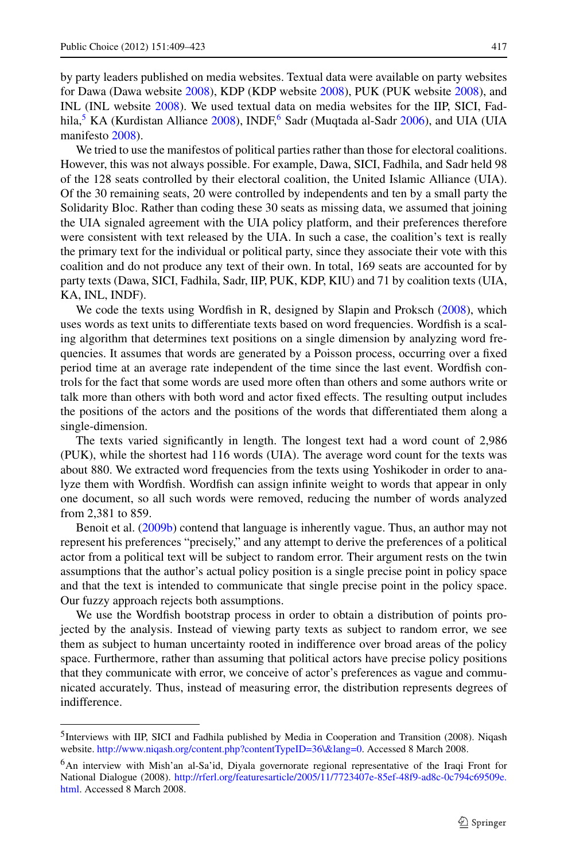by party leaders published on media websites. Textual data were available on party websites for Dawa (Dawa website [2008](#page-13-7)), KDP (KDP website [2008\)](#page-14-10), PUK (PUK website [2008\)](#page-14-11), and INL (INL website [2008](#page-13-8)). We used textual data on media websites for the IIP, SICI, Fad-hila,<sup>5</sup> KA (Kurdistan Alliance [2008](#page-14-12)), INDF,<sup>6</sup> Sadr (Muqtada al-Sadr [2006\)](#page-14-13), and UIA (UIA manifesto [2008](#page-14-14)).

We tried to use the manifestos of political parties rather than those for electoral coalitions. However, this was not always possible. For example, Dawa, SICI, Fadhila, and Sadr held 98 of the 128 seats controlled by their electoral coalition, the United Islamic Alliance (UIA). Of the 30 remaining seats, 20 were controlled by independents and ten by a small party the Solidarity Bloc. Rather than coding these 30 seats as missing data, we assumed that joining the UIA signaled agreement with the UIA policy platform, and their preferences therefore were consistent with text released by the UIA. In such a case, the coalition's text is really the primary text for the individual or political party, since they associate their vote with this coalition and do not produce any text of their own. In total, 169 seats are accounted for by party texts (Dawa, SICI, Fadhila, Sadr, IIP, PUK, KDP, KIU) and 71 by coalition texts (UIA, KA, INL, INDF).

We code the texts using Wordfish in R, designed by Slapin and Proksch [\(2008\)](#page-14-15), which uses words as text units to differentiate texts based on word frequencies. Wordfish is a scaling algorithm that determines text positions on a single dimension by analyzing word frequencies. It assumes that words are generated by a Poisson process, occurring over a fixed period time at an average rate independent of the time since the last event. Wordfish controls for the fact that some words are used more often than others and some authors write or talk more than others with both word and actor fixed effects. The resulting output includes the positions of the actors and the positions of the words that differentiated them along a single-dimension.

The texts varied significantly in length. The longest text had a word count of 2,986 (PUK), while the shortest had 116 words (UIA). The average word count for the texts was about 880. We extracted word frequencies from the texts using Yoshikoder in order to analyze them with Wordfish. Wordfish can assign infinite weight to words that appear in only one document, so all such words were removed, reducing the number of words analyzed from 2,381 to 859.

Benoit et al. [\(2009b\)](#page-13-9) contend that language is inherently vague. Thus, an author may not represent his preferences "precisely," and any attempt to derive the preferences of a political actor from a political text will be subject to random error. Their argument rests on the twin assumptions that the author's actual policy position is a single precise point in policy space and that the text is intended to communicate that single precise point in the policy space. Our fuzzy approach rejects both assumptions.

<span id="page-8-1"></span><span id="page-8-0"></span>We use the Wordfish bootstrap process in order to obtain a distribution of points projected by the analysis. Instead of viewing party texts as subject to random error, we see them as subject to human uncertainty rooted in indifference over broad areas of the policy space. Furthermore, rather than assuming that political actors have precise policy positions that they communicate with error, we conceive of actor's preferences as vague and communicated accurately. Thus, instead of measuring error, the distribution represents degrees of indifference.

<sup>&</sup>lt;sup>5</sup>Interviews with IIP, SICI and Fadhila published by Media in Cooperation and Transition (2008). Niqash website. [http://www.niqash.org/content.php?contentTypeID=36\&lang=0](http://www.niqash.org/content.php?contentTypeID=36&lang=0). Accessed 8 March 2008.

<sup>&</sup>lt;sup>6</sup>An interview with Mish'an al-Sa'id, Diyala governorate regional representative of the Iraqi Front for National Dialogue (2008). [http://rferl.org/featuresarticle/2005/11/7723407e-85ef-48f9-ad8c-0c794c69509e.](http://rferl.org/featuresarticle/2005/11/7723407e-85ef-48f9-ad8c-0c794c69509e.html) [html](http://rferl.org/featuresarticle/2005/11/7723407e-85ef-48f9-ad8c-0c794c69509e.html). Accessed 8 March 2008.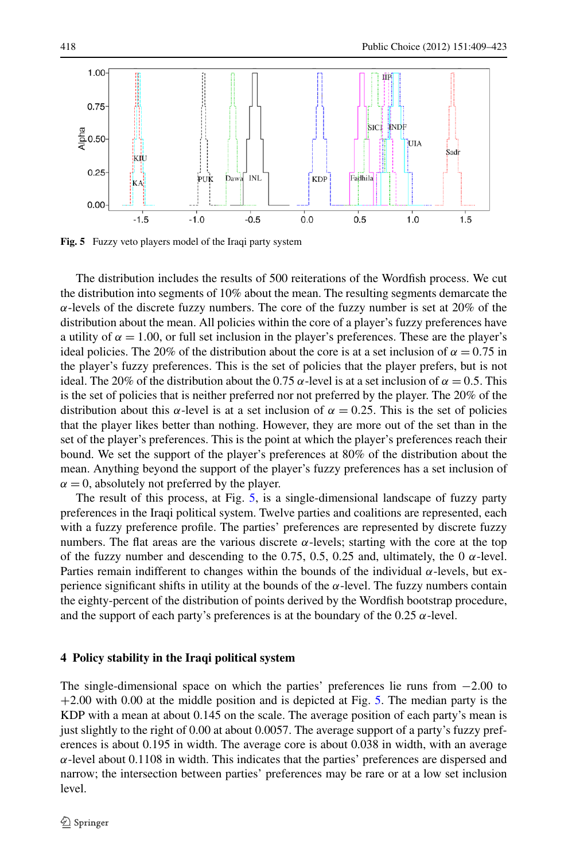<span id="page-9-0"></span>

**Fig. 5** Fuzzy veto players model of the Iraqi party system

The distribution includes the results of 500 reiterations of the Wordfish process. We cut the distribution into segments of 10% about the mean. The resulting segments demarcate the  $\alpha$ -levels of the discrete fuzzy numbers. The core of the fuzzy number is set at 20% of the distribution about the mean. All policies within the core of a player's fuzzy preferences have a utility of  $\alpha = 1.00$ , or full set inclusion in the player's preferences. These are the player's ideal policies. The 20% of the distribution about the core is at a set inclusion of  $\alpha = 0.75$  in the player's fuzzy preferences. This is the set of policies that the player prefers, but is not ideal. The 20% of the distribution about the 0.75 *α*-level is at a set inclusion of *α* = 0*.*5. This is the set of policies that is neither preferred nor not preferred by the player. The 20% of the distribution about this  $\alpha$ -level is at a set inclusion of  $\alpha = 0.25$ . This is the set of policies that the player likes better than nothing. However, they are more out of the set than in the set of the player's preferences. This is the point at which the player's preferences reach their bound. We set the support of the player's preferences at 80% of the distribution about the mean. Anything beyond the support of the player's fuzzy preferences has a set inclusion of  $\alpha = 0$ , absolutely not preferred by the player.

The result of this process, at Fig. [5,](#page-9-0) is a single-dimensional landscape of fuzzy party preferences in the Iraqi political system. Twelve parties and coalitions are represented, each with a fuzzy preference profile. The parties' preferences are represented by discrete fuzzy numbers. The flat areas are the various discrete  $\alpha$ -levels; starting with the core at the top of the fuzzy number and descending to the 0.75, 0.5, 0.25 and, ultimately, the 0 *α*-level. Parties remain indifferent to changes within the bounds of the individual *α*-levels, but experience significant shifts in utility at the bounds of the  $\alpha$ -level. The fuzzy numbers contain the eighty-percent of the distribution of points derived by the Wordfish bootstrap procedure, and the support of each party's preferences is at the boundary of the  $0.25 \alpha$ -level.

#### **4 Policy stability in the Iraqi political system**

The single-dimensional space on which the parties' preferences lie runs from  $-2.00$  to  $+2.00$  with 0.00 at the middle position and is depicted at Fig. [5.](#page-9-0) The median party is the KDP with a mean at about 0.145 on the scale. The average position of each party's mean is just slightly to the right of 0.00 at about 0.0057. The average support of a party's fuzzy preferences is about 0.195 in width. The average core is about 0.038 in width, with an average *α*-level about 0.1108 in width. This indicates that the parties' preferences are dispersed and narrow; the intersection between parties' preferences may be rare or at a low set inclusion level.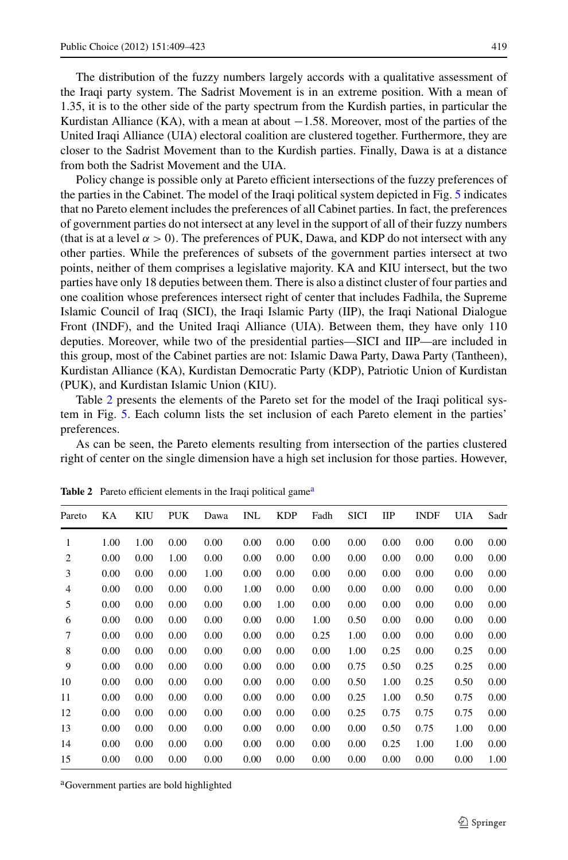The distribution of the fuzzy numbers largely accords with a qualitative assessment of the Iraqi party system. The Sadrist Movement is in an extreme position. With a mean of 1.35, it is to the other side of the party spectrum from the Kurdish parties, in particular the Kurdistan Alliance (KA), with a mean at about  $-1.58$ . Moreover, most of the parties of the United Iraqi Alliance (UIA) electoral coalition are clustered together. Furthermore, they are closer to the Sadrist Movement than to the Kurdish parties. Finally, Dawa is at a distance from both the Sadrist Movement and the UIA.

Policy change is possible only at Pareto efficient intersections of the fuzzy preferences of the parties in the Cabinet. The model of the Iraqi political system depicted in Fig. [5](#page-9-0) indicates that no Pareto element includes the preferences of all Cabinet parties. In fact, the preferences of government parties do not intersect at any level in the support of all of their fuzzy numbers (that is at a level  $\alpha > 0$ ). The preferences of PUK, Dawa, and KDP do not intersect with any other parties. While the preferences of subsets of the government parties intersect at two points, neither of them comprises a legislative majority. KA and KIU intersect, but the two parties have only 18 deputies between them. There is also a distinct cluster of four parties and one coalition whose preferences intersect right of center that includes Fadhila, the Supreme Islamic Council of Iraq (SICI), the Iraqi Islamic Party (IIP), the Iraqi National Dialogue Front (INDF), and the United Iraqi Alliance (UIA). Between them, they have only 110 deputies. Moreover, while two of the presidential parties—SICI and IIP—are included in this group, most of the Cabinet parties are not: Islamic Dawa Party, Dawa Party (Tantheen), Kurdistan Alliance (KA), Kurdistan Democratic Party (KDP), Patriotic Union of Kurdistan (PUK), and Kurdistan Islamic Union (KIU).

<span id="page-10-0"></span>Table [2](#page-10-0) presents the elements of the Pareto set for the model of the Iraqi political system in Fig. [5.](#page-9-0) Each column lists the set inclusion of each Pareto element in the parties' preferences.

As can be seen, the Pareto elements resulting from intersection of the parties clustered right of center on the single dimension have a high set inclusion for those parties. However,

| Pareto         | KА   | KIU  | <b>PUK</b> | Dawa | <b>INL</b> | <b>KDP</b> | Fadh | <b>SICI</b> | IIP  | <b>INDF</b> | UIA  | Sadr |
|----------------|------|------|------------|------|------------|------------|------|-------------|------|-------------|------|------|
| $\mathbf{1}$   | 1.00 | 1.00 | 0.00       | 0.00 | 0.00       | 0.00       | 0.00 | 0.00        | 0.00 | 0.00        | 0.00 | 0.00 |
| 2              | 0.00 | 0.00 | 1.00       | 0.00 | 0.00       | 0.00       | 0.00 | 0.00        | 0.00 | 0.00        | 0.00 | 0.00 |
| 3              | 0.00 | 0.00 | 0.00       | 1.00 | 0.00       | 0.00       | 0.00 | 0.00        | 0.00 | 0.00        | 0.00 | 0.00 |
| $\overline{4}$ | 0.00 | 0.00 | 0.00       | 0.00 | 1.00       | 0.00       | 0.00 | 0.00        | 0.00 | 0.00        | 0.00 | 0.00 |
| 5              | 0.00 | 0.00 | 0.00       | 0.00 | 0.00       | 1.00       | 0.00 | 0.00        | 0.00 | 0.00        | 0.00 | 0.00 |
| 6              | 0.00 | 0.00 | 0.00       | 0.00 | 0.00       | 0.00       | 1.00 | 0.50        | 0.00 | 0.00        | 0.00 | 0.00 |
| 7              | 0.00 | 0.00 | 0.00       | 0.00 | 0.00       | 0.00       | 0.25 | 1.00        | 0.00 | 0.00        | 0.00 | 0.00 |
| 8              | 0.00 | 0.00 | 0.00       | 0.00 | 0.00       | 0.00       | 0.00 | 1.00        | 0.25 | 0.00        | 0.25 | 0.00 |
| 9              | 0.00 | 0.00 | 0.00       | 0.00 | 0.00       | 0.00       | 0.00 | 0.75        | 0.50 | 0.25        | 0.25 | 0.00 |
| 10             | 0.00 | 0.00 | 0.00       | 0.00 | 0.00       | 0.00       | 0.00 | 0.50        | 1.00 | 0.25        | 0.50 | 0.00 |
| 11             | 0.00 | 0.00 | 0.00       | 0.00 | 0.00       | 0.00       | 0.00 | 0.25        | 1.00 | 0.50        | 0.75 | 0.00 |
| 12             | 0.00 | 0.00 | 0.00       | 0.00 | 0.00       | 0.00       | 0.00 | 0.25        | 0.75 | 0.75        | 0.75 | 0.00 |
| 13             | 0.00 | 0.00 | 0.00       | 0.00 | 0.00       | 0.00       | 0.00 | 0.00        | 0.50 | 0.75        | 1.00 | 0.00 |
| 14             | 0.00 | 0.00 | 0.00       | 0.00 | 0.00       | 0.00       | 0.00 | 0.00        | 0.25 | 1.00        | 1.00 | 0.00 |
| 15             | 0.00 | 0.00 | 0.00       | 0.00 | 0.00       | 0.00       | 0.00 | 0.00        | 0.00 | 0.00        | 0.00 | 1.00 |

**T[a](#page-10-1)ble 2** Pareto efficient elements in the Iraqi political game<sup>a</sup>

<span id="page-10-1"></span><sup>a</sup>Government parties are bold highlighted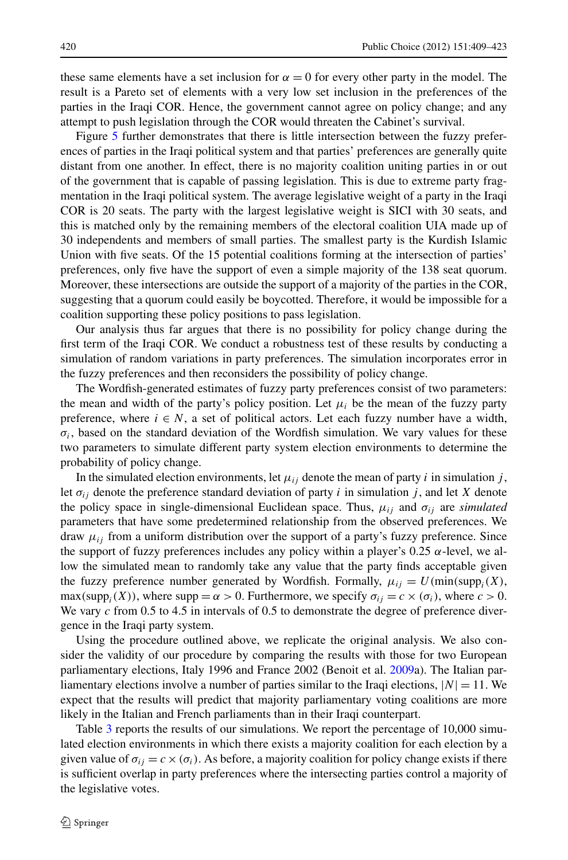these same elements have a set inclusion for  $\alpha = 0$  for every other party in the model. The result is a Pareto set of elements with a very low set inclusion in the preferences of the parties in the Iraqi COR. Hence, the government cannot agree on policy change; and any attempt to push legislation through the COR would threaten the Cabinet's survival.

Figure [5](#page-9-0) further demonstrates that there is little intersection between the fuzzy preferences of parties in the Iraqi political system and that parties' preferences are generally quite distant from one another. In effect, there is no majority coalition uniting parties in or out of the government that is capable of passing legislation. This is due to extreme party fragmentation in the Iraqi political system. The average legislative weight of a party in the Iraqi COR is 20 seats. The party with the largest legislative weight is SICI with 30 seats, and this is matched only by the remaining members of the electoral coalition UIA made up of 30 independents and members of small parties. The smallest party is the Kurdish Islamic Union with five seats. Of the 15 potential coalitions forming at the intersection of parties' preferences, only five have the support of even a simple majority of the 138 seat quorum. Moreover, these intersections are outside the support of a majority of the parties in the COR, suggesting that a quorum could easily be boycotted. Therefore, it would be impossible for a coalition supporting these policy positions to pass legislation.

Our analysis thus far argues that there is no possibility for policy change during the first term of the Iraqi COR. We conduct a robustness test of these results by conducting a simulation of random variations in party preferences. The simulation incorporates error in the fuzzy preferences and then reconsiders the possibility of policy change.

The Wordfish-generated estimates of fuzzy party preferences consist of two parameters: the mean and width of the party's policy position. Let  $\mu_i$  be the mean of the fuzzy party preference, where  $i \in N$ , a set of political actors. Let each fuzzy number have a width,  $\sigma_i$ , based on the standard deviation of the Wordfish simulation. We vary values for these two parameters to simulate different party system election environments to determine the probability of policy change.

In the simulated election environments, let  $\mu_{ij}$  denote the mean of party *i* in simulation *j*, let  $\sigma_{ij}$  denote the preference standard deviation of party *i* in simulation *j*, and let *X* denote the policy space in single-dimensional Euclidean space. Thus,  $\mu_{ij}$  and  $\sigma_{ij}$  are *simulated* parameters that have some predetermined relationship from the observed preferences. We draw  $\mu_{ij}$  from a uniform distribution over the support of a party's fuzzy preference. Since the support of fuzzy preferences includes any policy within a player's 0.25 *α*-level, we allow the simulated mean to randomly take any value that the party finds acceptable given the fuzzy preference number generated by Wordfish. Formally,  $\mu_{ij} = U(\min(\text{supp}_i(X)),$ max(supp<sub>i</sub>(X)), where supp =  $\alpha$  > 0. Furthermore, we specify  $\sigma_{ij} = c \times (\sigma_i)$ , where  $c > 0$ . We vary *c* from 0.5 to 4.5 in intervals of 0.5 to demonstrate the degree of preference divergence in the Iraqi party system.

Using the procedure outlined above, we replicate the original analysis. We also consider the validity of our procedure by comparing the results with those for two European parliamentary elections, Italy 1996 and France 2002 (Benoit et al. [2009a](#page-13-10)). The Italian parliamentary elections involve a number of parties similar to the Iraqi elections,  $|N| = 11$ . We expect that the results will predict that majority parliamentary voting coalitions are more likely in the Italian and French parliaments than in their Iraqi counterpart.

Table [3](#page-12-0) reports the results of our simulations. We report the percentage of 10,000 simulated election environments in which there exists a majority coalition for each election by a given value of  $\sigma_{ij} = c \times (\sigma_i)$ . As before, a majority coalition for policy change exists if there is sufficient overlap in party preferences where the intersecting parties control a majority of the legislative votes.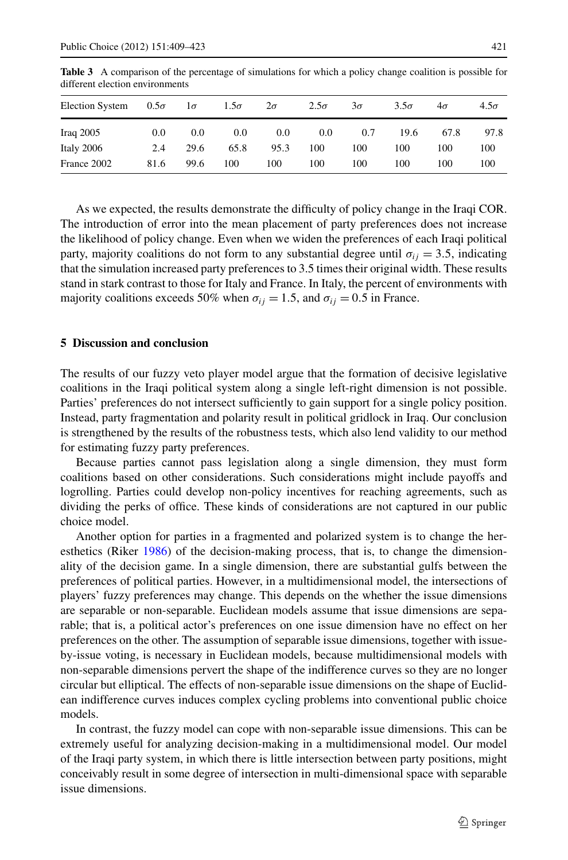<span id="page-12-0"></span>

|                                 | <b>Table 3</b> A comparison of the percentage of simulations for which a policy change coalition is possible for |  |  |  |  |
|---------------------------------|------------------------------------------------------------------------------------------------------------------|--|--|--|--|
| different election environments |                                                                                                                  |  |  |  |  |

| Election System | $0.5\sigma$ | $1\sigma$ | $1.5\sigma$ | $2\sigma$ | $2.5\sigma$ | $3\sigma$ | $3.5\sigma$ | $4\sigma$ | $4.5\sigma$ |
|-----------------|-------------|-----------|-------------|-----------|-------------|-----------|-------------|-----------|-------------|
| Iraq $2005$     | 0.0         | 0.0       | 0.0         | 0.0       | 0.0         | 0.7       | 19.6        | 67.8      | 97.8        |
| Italy 2006      | 2.4         | 29.6      | 65.8        | 95.3      | 100         | 100       | 100         | 100       | 100         |
| France 2002     | 81.6        | 99.6      | 100         | 100       | 100         | 100       | 100         | 100       | 100         |

As we expected, the results demonstrate the difficulty of policy change in the Iraqi COR. The introduction of error into the mean placement of party preferences does not increase the likelihood of policy change. Even when we widen the preferences of each Iraqi political party, majority coalitions do not form to any substantial degree until  $\sigma_{ii} = 3.5$ , indicating that the simulation increased party preferences to 3.5 times their original width. These results stand in stark contrast to those for Italy and France. In Italy, the percent of environments with majority coalitions exceeds 50% when  $\sigma_{ij} = 1.5$ , and  $\sigma_{ij} = 0.5$  in France.

## **5 Discussion and conclusion**

The results of our fuzzy veto player model argue that the formation of decisive legislative coalitions in the Iraqi political system along a single left-right dimension is not possible. Parties' preferences do not intersect sufficiently to gain support for a single policy position. Instead, party fragmentation and polarity result in political gridlock in Iraq. Our conclusion is strengthened by the results of the robustness tests, which also lend validity to our method for estimating fuzzy party preferences.

Because parties cannot pass legislation along a single dimension, they must form coalitions based on other considerations. Such considerations might include payoffs and logrolling. Parties could develop non-policy incentives for reaching agreements, such as dividing the perks of office. These kinds of considerations are not captured in our public choice model.

Another option for parties in a fragmented and polarized system is to change the her-esthetics (Riker [1986\)](#page-14-16) of the decision-making process, that is, to change the dimensionality of the decision game. In a single dimension, there are substantial gulfs between the preferences of political parties. However, in a multidimensional model, the intersections of players' fuzzy preferences may change. This depends on the whether the issue dimensions are separable or non-separable. Euclidean models assume that issue dimensions are separable; that is, a political actor's preferences on one issue dimension have no effect on her preferences on the other. The assumption of separable issue dimensions, together with issueby-issue voting, is necessary in Euclidean models, because multidimensional models with non-separable dimensions pervert the shape of the indifference curves so they are no longer circular but elliptical. The effects of non-separable issue dimensions on the shape of Euclidean indifference curves induces complex cycling problems into conventional public choice models.

In contrast, the fuzzy model can cope with non-separable issue dimensions. This can be extremely useful for analyzing decision-making in a multidimensional model. Our model of the Iraqi party system, in which there is little intersection between party positions, might conceivably result in some degree of intersection in multi-dimensional space with separable issue dimensions.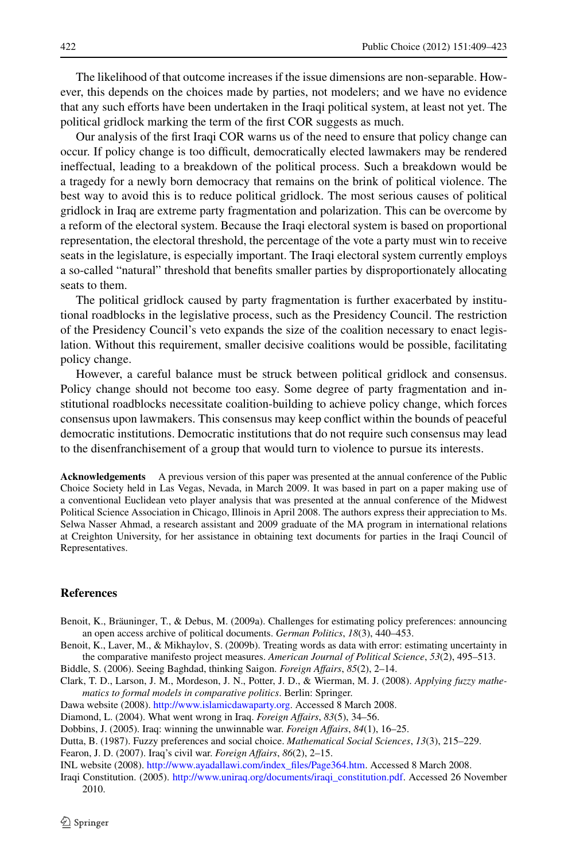The likelihood of that outcome increases if the issue dimensions are non-separable. However, this depends on the choices made by parties, not modelers; and we have no evidence that any such efforts have been undertaken in the Iraqi political system, at least not yet. The political gridlock marking the term of the first COR suggests as much.

Our analysis of the first Iraqi COR warns us of the need to ensure that policy change can occur. If policy change is too difficult, democratically elected lawmakers may be rendered ineffectual, leading to a breakdown of the political process. Such a breakdown would be a tragedy for a newly born democracy that remains on the brink of political violence. The best way to avoid this is to reduce political gridlock. The most serious causes of political gridlock in Iraq are extreme party fragmentation and polarization. This can be overcome by a reform of the electoral system. Because the Iraqi electoral system is based on proportional representation, the electoral threshold, the percentage of the vote a party must win to receive seats in the legislature, is especially important. The Iraqi electoral system currently employs a so-called "natural" threshold that benefits smaller parties by disproportionately allocating seats to them.

The political gridlock caused by party fragmentation is further exacerbated by institutional roadblocks in the legislative process, such as the Presidency Council. The restriction of the Presidency Council's veto expands the size of the coalition necessary to enact legislation. Without this requirement, smaller decisive coalitions would be possible, facilitating policy change.

However, a careful balance must be struck between political gridlock and consensus. Policy change should not become too easy. Some degree of party fragmentation and institutional roadblocks necessitate coalition-building to achieve policy change, which forces consensus upon lawmakers. This consensus may keep conflict within the bounds of peaceful democratic institutions. Democratic institutions that do not require such consensus may lead to the disenfranchisement of a group that would turn to violence to pursue its interests.

<span id="page-13-10"></span><span id="page-13-9"></span>**Acknowledgements** A previous version of this paper was presented at the annual conference of the Public Choice Society held in Las Vegas, Nevada, in March 2009. It was based in part on a paper making use of a conventional Euclidean veto player analysis that was presented at the annual conference of the Midwest Political Science Association in Chicago, Illinois in April 2008. The authors express their appreciation to Ms. Selwa Nasser Ahmad, a research assistant and 2009 graduate of the MA program in international relations at Creighton University, for her assistance in obtaining text documents for parties in the Iraqi Council of Representatives.

## <span id="page-13-7"></span><span id="page-13-4"></span><span id="page-13-2"></span><span id="page-13-0"></span>**References**

- <span id="page-13-5"></span><span id="page-13-1"></span>Benoit, K., Bräuninger, T., & Debus, M. (2009a). Challenges for estimating policy preferences: announcing an open access archive of political documents. *German Politics*, *18*(3), 440–453.
- <span id="page-13-8"></span><span id="page-13-3"></span>Benoit, K., Laver, M., & Mikhaylov, S. (2009b). Treating words as data with error: estimating uncertainty in the comparative manifesto project measures. *American Journal of Political Science*, *53*(2), 495–513.

<span id="page-13-6"></span>Biddle, S. (2006). Seeing Baghdad, thinking Saigon. *Foreign Affairs*, *85*(2), 2–14.

Clark, T. D., Larson, J. M., Mordeson, J. N., Potter, J. D., & Wierman, M. J. (2008). *Applying fuzzy mathematics to formal models in comparative politics*. Berlin: Springer.

Dawa website (2008). [http://www.islamicdawaparty.org.](http://www.islamicdawaparty.org) Accessed 8 March 2008.

- Diamond, L. (2004). What went wrong in Iraq. *Foreign Affairs*, *83*(5), 34–56.
- Dobbins, J. (2005). Iraq: winning the unwinnable war. *Foreign Affairs*, *84*(1), 16–25.
- Dutta, B. (1987). Fuzzy preferences and social choice. *Mathematical Social Sciences*, *13*(3), 215–229.

Fearon, J. D. (2007). Iraq's civil war. *Foreign Affairs*, *86*(2), 2–15.

INL website (2008). [http://www.ayadallawi.com/index\\_files/Page364.htm.](http://www.ayadallawi.com/index_files/Page364.htm) Accessed 8 March 2008.

Iraqi Constitution. (2005). [http://www.uniraq.org/documents/iraqi\\_constitution.pdf](http://www.uniraq.org/documents/iraqi_constitution.pdf). Accessed 26 November 2010.